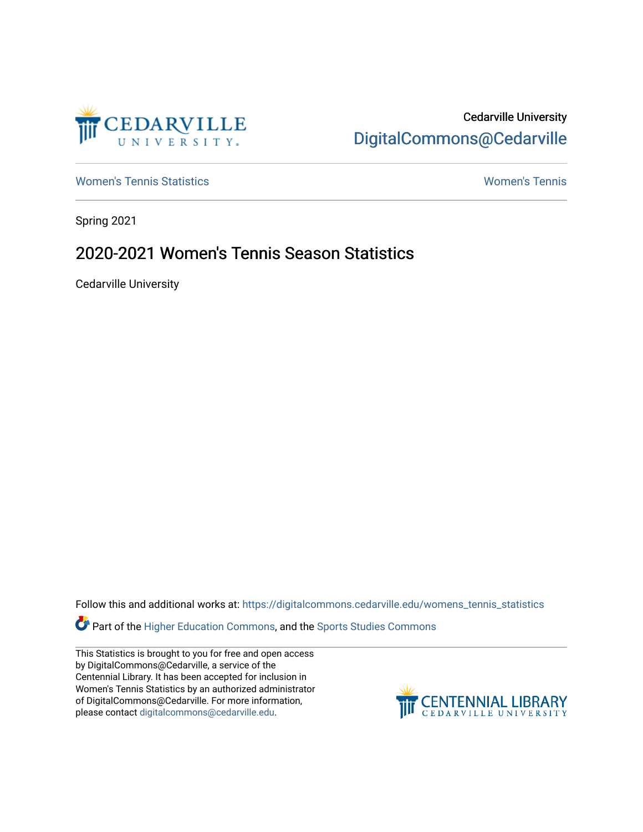

Cedarville University [DigitalCommons@Cedarville](https://digitalcommons.cedarville.edu/) 

[Women's Tennis Statistics](https://digitalcommons.cedarville.edu/womens_tennis_statistics) [Women's Tennis](https://digitalcommons.cedarville.edu/womens_tennis) 

Spring 2021

## 2020-2021 Women's Tennis Season Statistics

Cedarville University

Follow this and additional works at: [https://digitalcommons.cedarville.edu/womens\\_tennis\\_statistics](https://digitalcommons.cedarville.edu/womens_tennis_statistics?utm_source=digitalcommons.cedarville.edu%2Fwomens_tennis_statistics%2F260&utm_medium=PDF&utm_campaign=PDFCoverPages) 

Part of the [Higher Education Commons,](http://network.bepress.com/hgg/discipline/1245?utm_source=digitalcommons.cedarville.edu%2Fwomens_tennis_statistics%2F260&utm_medium=PDF&utm_campaign=PDFCoverPages) and the [Sports Studies Commons](http://network.bepress.com/hgg/discipline/1198?utm_source=digitalcommons.cedarville.edu%2Fwomens_tennis_statistics%2F260&utm_medium=PDF&utm_campaign=PDFCoverPages) 

This Statistics is brought to you for free and open access by DigitalCommons@Cedarville, a service of the Centennial Library. It has been accepted for inclusion in Women's Tennis Statistics by an authorized administrator of DigitalCommons@Cedarville. For more information, please contact [digitalcommons@cedarville.edu](mailto:digitalcommons@cedarville.edu).